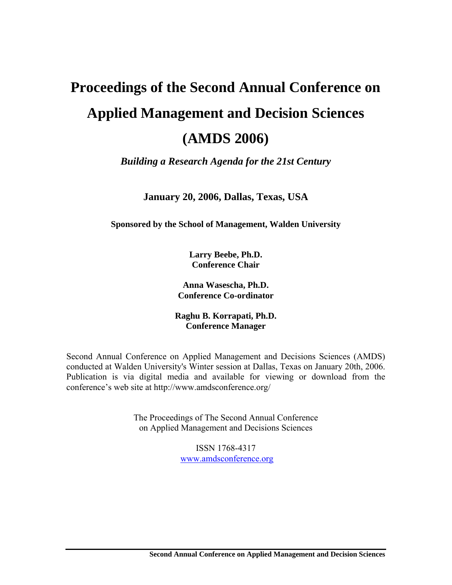# **Proceedings of the Second Annual Conference on Applied Management and Decision Sciences (AMDS 2006)**

*Building a Research Agenda for the 21st Century* 

**January 20, 2006, Dallas, Texas, USA** 

**Sponsored by the School of Management, Walden University** 

**Larry Beebe, Ph.D. Conference Chair** 

**Anna Wasescha, Ph.D. Conference Co-ordinator** 

**Raghu B. Korrapati, Ph.D. Conference Manager** 

Second Annual Conference on Applied Management and Decisions Sciences (AMDS) conducted at Walden University's Winter session at Dallas, Texas on January 20th, 2006. Publication is via digital media and available for viewing or download from the conference's web site at http://www.amdsconference.org/

> The Proceedings of The Second Annual Conference on Applied Management and Decisions Sciences

> > ISSN 1768-4317 www.amdsconference.org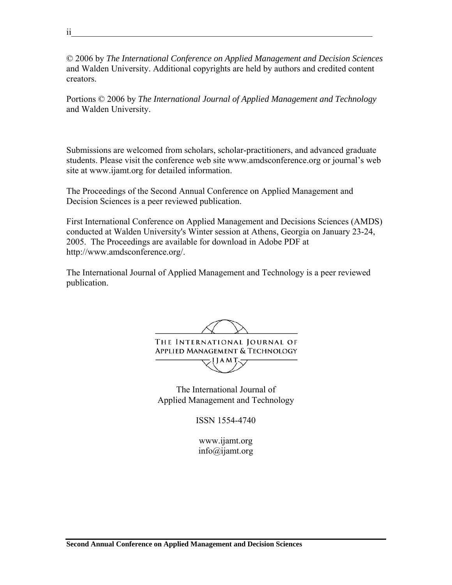© 2006 by *The International Conference on Applied Management and Decision Sciences*  and Walden University. Additional copyrights are held by authors and credited content creators.

Portions © 2006 by *The International Journal of Applied Management and Technology* and Walden University.

Submissions are welcomed from scholars, scholar-practitioners, and advanced graduate students. Please visit the conference web site www.amdsconference.org or journal's web site at www.ijamt.org for detailed information.

The Proceedings of the Second Annual Conference on Applied Management and Decision Sciences is a peer reviewed publication.

First International Conference on Applied Management and Decisions Sciences (AMDS) conducted at Walden University's Winter session at Athens, Georgia on January 23-24, 2005. The Proceedings are available for download in Adobe PDF at http://www.amdsconference.org/.

The International Journal of Applied Management and Technology is a peer reviewed publication.

THE INTERNATIONAL JOURNAL OF **APPLIED MANAGEMENT & TECHNOLOGY** ः । । A M T

The International Journal of Applied Management and Technology

ISSN 1554-4740

www.ijamt.org info@ijamt.org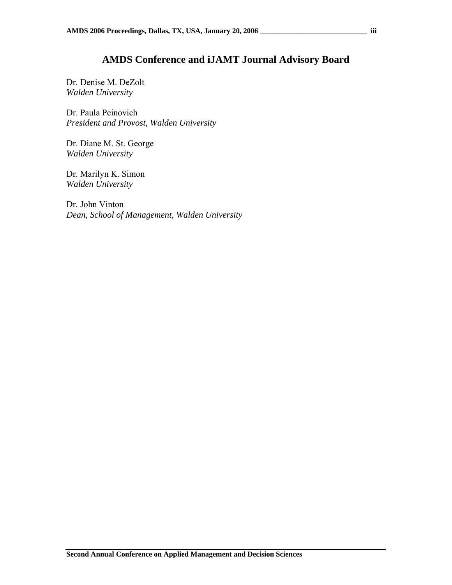### **AMDS Conference and iJAMT Journal Advisory Board**

Dr. Denise M. DeZolt *Walden University*

Dr. Paula Peinovich *President and Provost, Walden University*

Dr. Diane M. St. George *Walden University*

Dr. Marilyn K. Simon *Walden University*

Dr. John Vinton *Dean, School of Management, Walden University*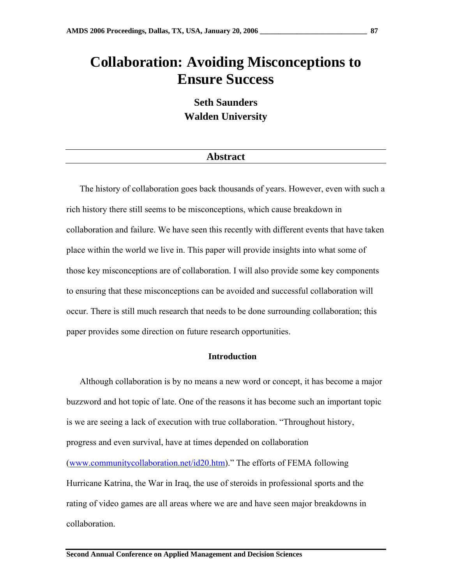### **Collaboration: Avoiding Misconceptions to Ensure Success**

**Seth Saunders Walden University** 

#### **Abstract**

The history of collaboration goes back thousands of years. However, even with such a rich history there still seems to be misconceptions, which cause breakdown in collaboration and failure. We have seen this recently with different events that have taken place within the world we live in. This paper will provide insights into what some of those key misconceptions are of collaboration. I will also provide some key components to ensuring that these misconceptions can be avoided and successful collaboration will occur. There is still much research that needs to be done surrounding collaboration; this paper provides some direction on future research opportunities.

#### **Introduction**

Although collaboration is by no means a new word or concept, it has become a major buzzword and hot topic of late. One of the reasons it has become such an important topic is we are seeing a lack of execution with true collaboration. "Throughout history, progress and even survival, have at times depended on collaboration (www.communitycollaboration.net/id20.htm)." The efforts of FEMA following Hurricane Katrina, the War in Iraq, the use of steroids in professional sports and the rating of video games are all areas where we are and have seen major breakdowns in collaboration.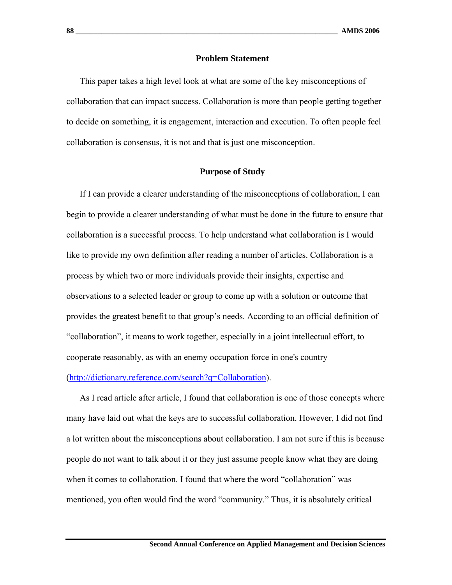#### **Problem Statement**

This paper takes a high level look at what are some of the key misconceptions of collaboration that can impact success. Collaboration is more than people getting together to decide on something, it is engagement, interaction and execution. To often people feel collaboration is consensus, it is not and that is just one misconception.

#### **Purpose of Study**

If I can provide a clearer understanding of the misconceptions of collaboration, I can begin to provide a clearer understanding of what must be done in the future to ensure that collaboration is a successful process. To help understand what collaboration is I would like to provide my own definition after reading a number of articles. Collaboration is a process by which two or more individuals provide their insights, expertise and observations to a selected leader or group to come up with a solution or outcome that provides the greatest benefit to that group's needs. According to an official definition of "collaboration", it means to work together, especially in a joint intellectual effort, to cooperate reasonably, as with an enemy occupation force in one's country

(http://dictionary.reference.com/search?q=Collaboration).

As I read article after article, I found that collaboration is one of those concepts where many have laid out what the keys are to successful collaboration. However, I did not find a lot written about the misconceptions about collaboration. I am not sure if this is because people do not want to talk about it or they just assume people know what they are doing when it comes to collaboration. I found that where the word "collaboration" was mentioned, you often would find the word "community." Thus, it is absolutely critical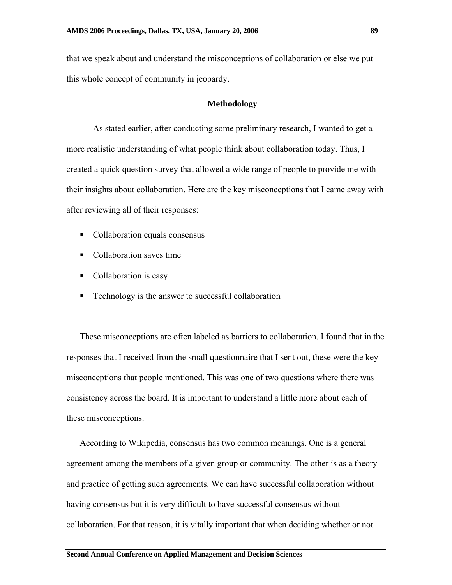that we speak about and understand the misconceptions of collaboration or else we put this whole concept of community in jeopardy.

#### **Methodology**

 As stated earlier, after conducting some preliminary research, I wanted to get a more realistic understanding of what people think about collaboration today. Thus, I created a quick question survey that allowed a wide range of people to provide me with their insights about collaboration. Here are the key misconceptions that I came away with after reviewing all of their responses:

- Collaboration equals consensus
- Collaboration saves time
- Collaboration is easy
- **Technology is the answer to successful collaboration**

These misconceptions are often labeled as barriers to collaboration. I found that in the responses that I received from the small questionnaire that I sent out, these were the key misconceptions that people mentioned. This was one of two questions where there was consistency across the board. It is important to understand a little more about each of these misconceptions.

According to Wikipedia, consensus has two common meanings. One is a general agreement among the members of a given group or community. The other is as a theory and practice of getting such agreements. We can have successful collaboration without having consensus but it is very difficult to have successful consensus without collaboration. For that reason, it is vitally important that when deciding whether or not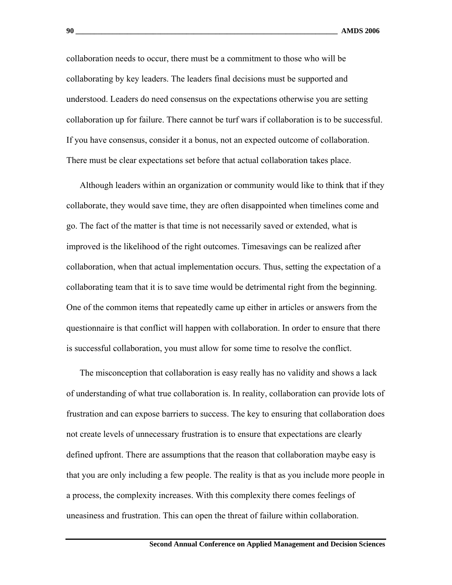collaboration needs to occur, there must be a commitment to those who will be collaborating by key leaders. The leaders final decisions must be supported and understood. Leaders do need consensus on the expectations otherwise you are setting collaboration up for failure. There cannot be turf wars if collaboration is to be successful. If you have consensus, consider it a bonus, not an expected outcome of collaboration. There must be clear expectations set before that actual collaboration takes place.

Although leaders within an organization or community would like to think that if they collaborate, they would save time, they are often disappointed when timelines come and go. The fact of the matter is that time is not necessarily saved or extended, what is improved is the likelihood of the right outcomes. Timesavings can be realized after collaboration, when that actual implementation occurs. Thus, setting the expectation of a collaborating team that it is to save time would be detrimental right from the beginning. One of the common items that repeatedly came up either in articles or answers from the questionnaire is that conflict will happen with collaboration. In order to ensure that there is successful collaboration, you must allow for some time to resolve the conflict.

The misconception that collaboration is easy really has no validity and shows a lack of understanding of what true collaboration is. In reality, collaboration can provide lots of frustration and can expose barriers to success. The key to ensuring that collaboration does not create levels of unnecessary frustration is to ensure that expectations are clearly defined upfront. There are assumptions that the reason that collaboration maybe easy is that you are only including a few people. The reality is that as you include more people in a process, the complexity increases. With this complexity there comes feelings of uneasiness and frustration. This can open the threat of failure within collaboration.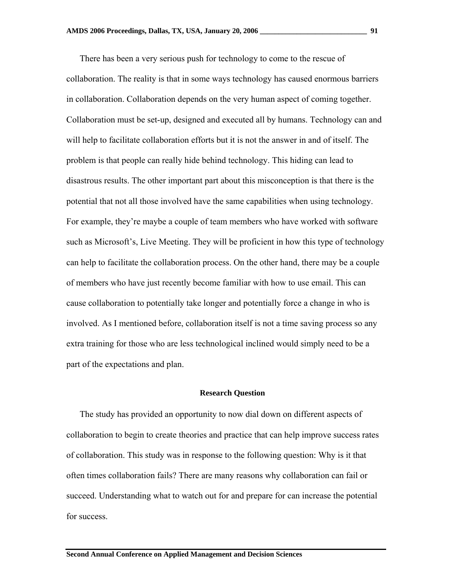There has been a very serious push for technology to come to the rescue of collaboration. The reality is that in some ways technology has caused enormous barriers in collaboration. Collaboration depends on the very human aspect of coming together. Collaboration must be set-up, designed and executed all by humans. Technology can and will help to facilitate collaboration efforts but it is not the answer in and of itself. The problem is that people can really hide behind technology. This hiding can lead to disastrous results. The other important part about this misconception is that there is the potential that not all those involved have the same capabilities when using technology. For example, they're maybe a couple of team members who have worked with software such as Microsoft's, Live Meeting. They will be proficient in how this type of technology can help to facilitate the collaboration process. On the other hand, there may be a couple of members who have just recently become familiar with how to use email. This can cause collaboration to potentially take longer and potentially force a change in who is involved. As I mentioned before, collaboration itself is not a time saving process so any extra training for those who are less technological inclined would simply need to be a part of the expectations and plan.

#### **Research Question**

The study has provided an opportunity to now dial down on different aspects of collaboration to begin to create theories and practice that can help improve success rates of collaboration. This study was in response to the following question: Why is it that often times collaboration fails? There are many reasons why collaboration can fail or succeed. Understanding what to watch out for and prepare for can increase the potential for success.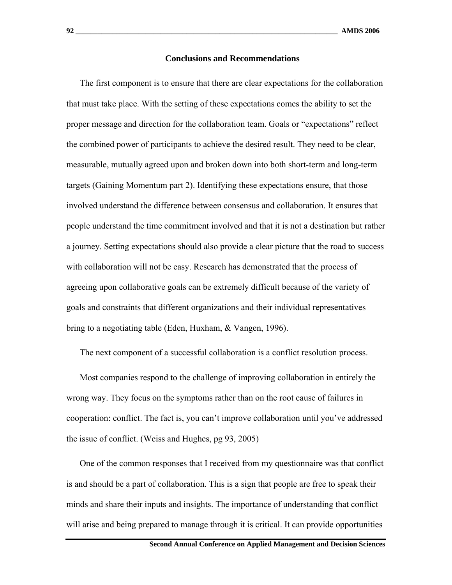#### **Conclusions and Recommendations**

The first component is to ensure that there are clear expectations for the collaboration that must take place. With the setting of these expectations comes the ability to set the proper message and direction for the collaboration team. Goals or "expectations" reflect the combined power of participants to achieve the desired result. They need to be clear, measurable, mutually agreed upon and broken down into both short-term and long-term targets (Gaining Momentum part 2). Identifying these expectations ensure, that those involved understand the difference between consensus and collaboration. It ensures that people understand the time commitment involved and that it is not a destination but rather a journey. Setting expectations should also provide a clear picture that the road to success with collaboration will not be easy. Research has demonstrated that the process of agreeing upon collaborative goals can be extremely difficult because of the variety of goals and constraints that different organizations and their individual representatives bring to a negotiating table (Eden, Huxham, & Vangen, 1996).

The next component of a successful collaboration is a conflict resolution process.

Most companies respond to the challenge of improving collaboration in entirely the wrong way. They focus on the symptoms rather than on the root cause of failures in cooperation: conflict. The fact is, you can't improve collaboration until you've addressed the issue of conflict. (Weiss and Hughes, pg 93, 2005)

One of the common responses that I received from my questionnaire was that conflict is and should be a part of collaboration. This is a sign that people are free to speak their minds and share their inputs and insights. The importance of understanding that conflict will arise and being prepared to manage through it is critical. It can provide opportunities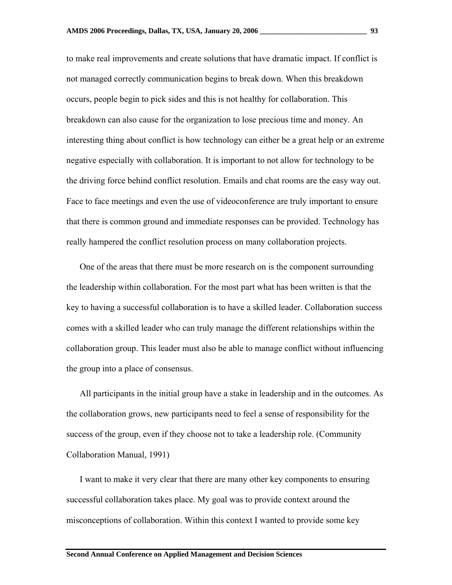to make real improvements and create solutions that have dramatic impact. If conflict is not managed correctly communication begins to break down. When this breakdown occurs, people begin to pick sides and this is not healthy for collaboration. This breakdown can also cause for the organization to lose precious time and money. An interesting thing about conflict is how technology can either be a great help or an extreme negative especially with collaboration. It is important to not allow for technology to be the driving force behind conflict resolution. Emails and chat rooms are the easy way out. Face to face meetings and even the use of videoconference are truly important to ensure that there is common ground and immediate responses can be provided. Technology has really hampered the conflict resolution process on many collaboration projects.

One of the areas that there must be more research on is the component surrounding the leadership within collaboration. For the most part what has been written is that the key to having a successful collaboration is to have a skilled leader. Collaboration success comes with a skilled leader who can truly manage the different relationships within the collaboration group. This leader must also be able to manage conflict without influencing the group into a place of consensus.

All participants in the initial group have a stake in leadership and in the outcomes. As the collaboration grows, new participants need to feel a sense of responsibility for the success of the group, even if they choose not to take a leadership role. (Community Collaboration Manual, 1991)

I want to make it very clear that there are many other key components to ensuring successful collaboration takes place. My goal was to provide context around the misconceptions of collaboration. Within this context I wanted to provide some key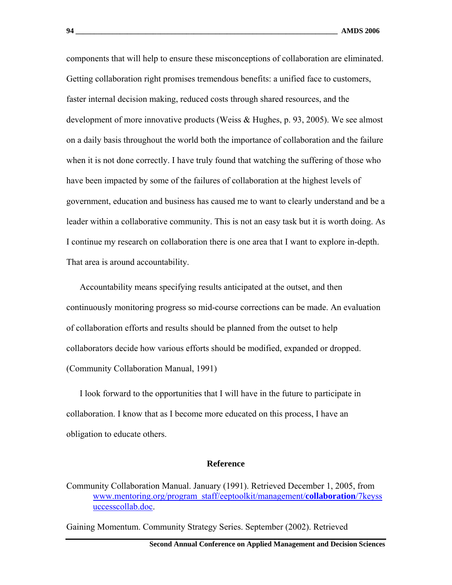components that will help to ensure these misconceptions of collaboration are eliminated. Getting collaboration right promises tremendous benefits: a unified face to customers, faster internal decision making, reduced costs through shared resources, and the development of more innovative products (Weiss & Hughes, p. 93, 2005). We see almost on a daily basis throughout the world both the importance of collaboration and the failure when it is not done correctly. I have truly found that watching the suffering of those who have been impacted by some of the failures of collaboration at the highest levels of government, education and business has caused me to want to clearly understand and be a leader within a collaborative community. This is not an easy task but it is worth doing. As I continue my research on collaboration there is one area that I want to explore in-depth. That area is around accountability.

Accountability means specifying results anticipated at the outset, and then continuously monitoring progress so mid-course corrections can be made. An evaluation of collaboration efforts and results should be planned from the outset to help collaborators decide how various efforts should be modified, expanded or dropped. (Community Collaboration Manual, 1991)

I look forward to the opportunities that I will have in the future to participate in collaboration. I know that as I become more educated on this process, I have an obligation to educate others.

#### **Reference**

Gaining Momentum. Community Strategy Series. September (2002). Retrieved

Community Collaboration Manual. January (1991). Retrieved December 1, 2005, from www.mentoring.org/program\_staff/eeptoolkit/management/**collaboration**/7keyss uccesscollab.doc.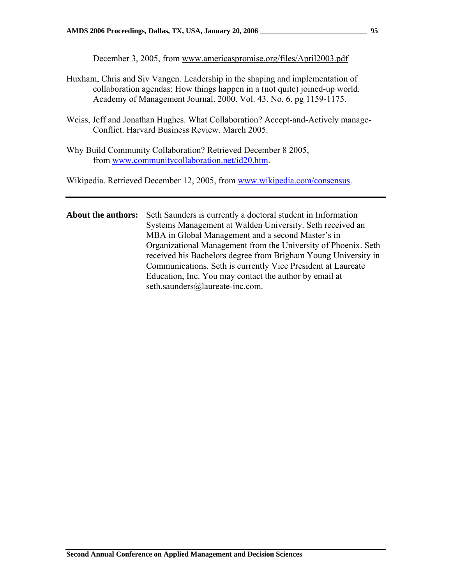December 3, 2005, from www.americaspromise.org/files/April2003.pdf

- Huxham, Chris and Siv Vangen. Leadership in the shaping and implementation of collaboration agendas: How things happen in a (not quite) joined-up world. Academy of Management Journal. 2000. Vol. 43. No. 6. pg 1159-1175.
- Weiss, Jeff and Jonathan Hughes. What Collaboration? Accept-and-Actively manage-Conflict. Harvard Business Review. March 2005.
- Why Build Community Collaboration? Retrieved December 8 2005, from www.communitycollaboration.net/id20.htm.

Wikipedia. Retrieved December 12, 2005, from www.wikipedia.com/consensus.

**About the authors:** Seth Saunders is currently a doctoral student in Information Systems Management at Walden University. Seth received an MBA in Global Management and a second Master's in Organizational Management from the University of Phoenix. Seth received his Bachelors degree from Brigham Young University in Communications. Seth is currently Vice President at Laureate Education, Inc. You may contact the author by email at seth.saunders@laureate-inc.com.